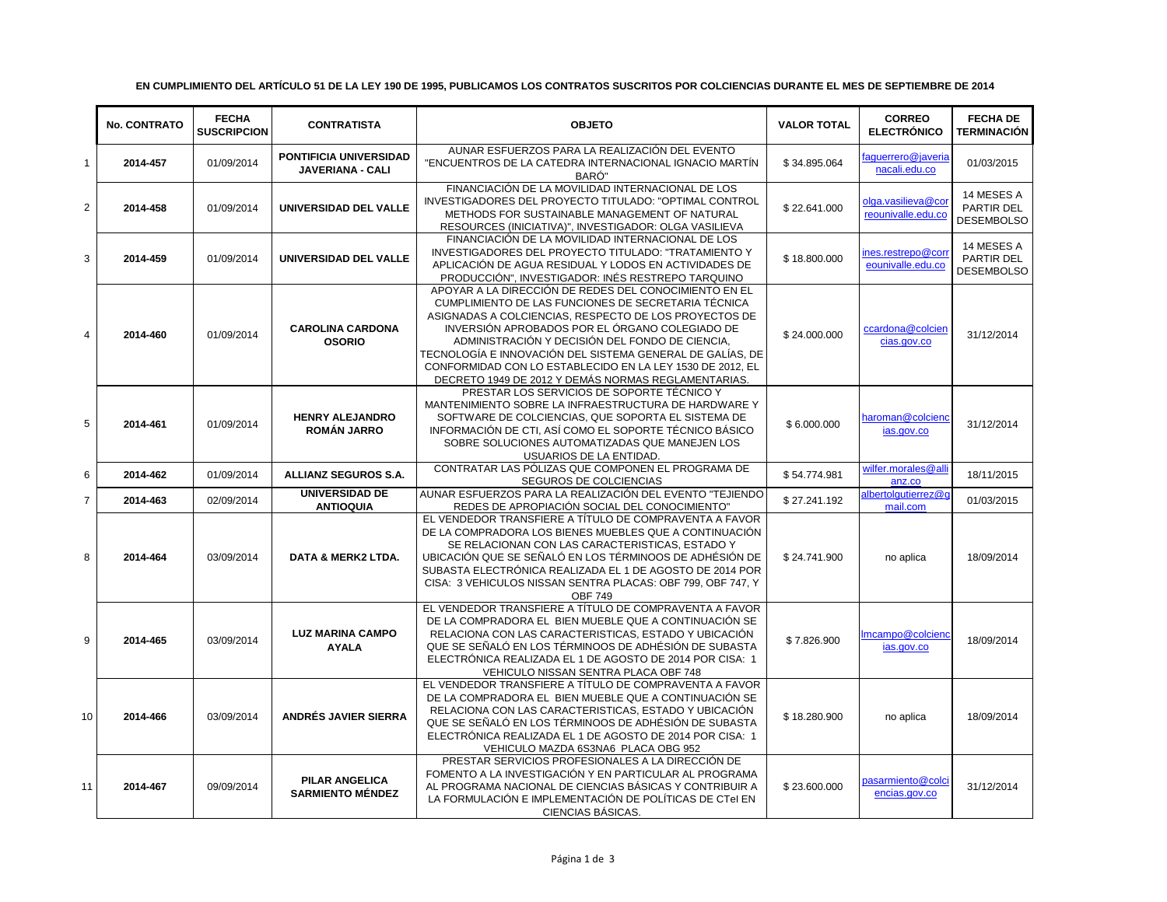|                | <b>No. CONTRATO</b> | <b>FECHA</b><br><b>SUSCRIPCION</b> | <b>CONTRATISTA</b>                                | <b>OBJETO</b>                                                                                                                                                                                                                                                                                                                                                                                                                                               | <b>VALOR TOTAL</b> | <b>CORREO</b><br><b>ELECTRÓNICO</b>      | <b>FECHA DE</b><br><b>TERMINACIÓN</b>         |
|----------------|---------------------|------------------------------------|---------------------------------------------------|-------------------------------------------------------------------------------------------------------------------------------------------------------------------------------------------------------------------------------------------------------------------------------------------------------------------------------------------------------------------------------------------------------------------------------------------------------------|--------------------|------------------------------------------|-----------------------------------------------|
| $\mathbf{1}$   | 2014-457            | 01/09/2014                         | PONTIFICIA UNIVERSIDAD<br><b>JAVERIANA - CALI</b> | AUNAR ESFUERZOS PARA LA REALIZACIÓN DEL EVENTO<br>"ENCUENTROS DE LA CATEDRA INTERNACIONAL IGNACIO MARTÍN<br>BARÓ"                                                                                                                                                                                                                                                                                                                                           | \$34.895.064       | faquerrero@javeria<br>nacali.edu.co      | 01/03/2015                                    |
| $\overline{2}$ | 2014-458            | 01/09/2014                         | UNIVERSIDAD DEL VALLE                             | FINANCIACIÓN DE LA MOVILIDAD INTERNACIONAL DE LOS<br>INVESTIGADORES DEL PROYECTO TITULADO: "OPTIMAL CONTROL<br>METHODS FOR SUSTAINABLE MANAGEMENT OF NATURAL<br>RESOURCES (INICIATIVA)", INVESTIGADOR: OLGA VASILIEVA                                                                                                                                                                                                                                       | \$22.641.000       | olga.vasilieva@coi<br>reounivalle.edu.co | 14 MESES A<br>PARTIR DEL<br><b>DESEMBOLSO</b> |
| 3              | 2014-459            | 01/09/2014                         | UNIVERSIDAD DEL VALLE                             | FINANCIACIÓN DE LA MOVILIDAD INTERNACIONAL DE LOS<br>INVESTIGADORES DEL PROYECTO TITULADO: "TRATAMIENTO Y<br>APLICACIÓN DE AGUA RESIDUAL Y LODOS EN ACTIVIDADES DE<br>PRODUCCIÓN", INVESTIGADOR: INÉS RESTREPO TARQUINO                                                                                                                                                                                                                                     | \$18,800,000       | nes.restrepo@cori<br>eounivalle.edu.co   | 14 MESES A<br>PARTIR DEL<br><b>DESEMBOLSO</b> |
| $\overline{4}$ | 2014-460            | 01/09/2014                         | <b>CAROLINA CARDONA</b><br><b>OSORIO</b>          | APOYAR A LA DIRECCIÓN DE REDES DEL CONOCIMIENTO EN EL<br>CUMPLIMIENTO DE LAS FUNCIONES DE SECRETARIA TÉCNICA<br>ASIGNADAS A COLCIENCIAS, RESPECTO DE LOS PROYECTOS DE<br>INVERSIÓN APROBADOS POR EL ÓRGANO COLEGIADO DE<br>ADMINISTRACIÓN Y DECISIÓN DEL FONDO DE CIENCIA,<br>TECNOLOGÍA E INNOVACIÓN DEL SISTEMA GENERAL DE GALÍAS, DE<br>CONFORMIDAD CON LO ESTABLECIDO EN LA LEY 1530 DE 2012, EL<br>DECRETO 1949 DE 2012 Y DEMÁS NORMAS REGLAMENTARIAS. | \$24.000.000       | ccardona@colcien<br>cias.gov.co          | 31/12/2014                                    |
| 5              | 2014-461            | 01/09/2014                         | <b>HENRY ALEJANDRO</b><br><b>ROMÁN JARRO</b>      | PRESTAR LOS SERVICIOS DE SOPORTE TÉCNICO Y<br>MANTENIMIENTO SOBRE LA INFRAESTRUCTURA DE HARDWARE Y<br>SOFTWARE DE COLCIENCIAS, QUE SOPORTA EL SISTEMA DE<br>INFORMACIÓN DE CTI, ASÍ COMO EL SOPORTE TÉCNICO BÁSICO<br>SOBRE SOLUCIONES AUTOMATIZADAS QUE MANEJEN LOS<br>USUARIOS DE LA ENTIDAD.                                                                                                                                                             | \$6.000.000        | haroman@colciend<br>ias.gov.co           | 31/12/2014                                    |
| 6              | 2014-462            | 01/09/2014                         | <b>ALLIANZ SEGUROS S.A.</b>                       | CONTRATAR LAS PÓLIZAS QUE COMPONEN EL PROGRAMA DE<br>SEGUROS DE COLCIENCIAS                                                                                                                                                                                                                                                                                                                                                                                 | \$54.774.981       | wilfer.morales@all<br>anz.co             | 18/11/2015                                    |
| $\overline{7}$ | 2014-463            | 02/09/2014                         | <b>UNIVERSIDAD DE</b><br><b>ANTIOQUIA</b>         | AUNAR ESFUERZOS PARA LA REALIZACIÓN DEL EVENTO "TEJIENDO<br>REDES DE APROPIACIÓN SOCIAL DEL CONOCIMIENTO"                                                                                                                                                                                                                                                                                                                                                   | \$27.241.192       | lbertolqutierrez@d<br>mail.com           | 01/03/2015                                    |
| 8              | 2014-464            | 03/09/2014                         | <b>DATA &amp; MERK2 LTDA.</b>                     | EL VENDEDOR TRANSFIERE A TÍTULO DE COMPRAVENTA A FAVOR<br>DE LA COMPRADORA LOS BIENES MUEBLES QUE A CONTINUACIÓN<br>SE RELACIONAN CON LAS CARACTERISTICAS, ESTADO Y<br>UBICACIÓN QUE SE SEÑALÓ EN LOS TÉRMINOOS DE ADHÉSIÓN DE<br>SUBASTA ELECTRÓNICA REALIZADA EL 1 DE AGOSTO DE 2014 POR<br>CISA: 3 VEHICULOS NISSAN SENTRA PLACAS: OBF 799, OBF 747, Y<br><b>OBF 749</b>                                                                                 | \$24.741.900       | no aplica                                | 18/09/2014                                    |
| 9              | 2014-465            | 03/09/2014                         | <b>LUZ MARINA CAMPO</b><br><b>AYALA</b>           | EL VENDEDOR TRANSFIERE A TÍTULO DE COMPRAVENTA A FAVOR<br>DE LA COMPRADORA EL BIEN MUEBLE QUE A CONTINUACIÓN SE<br>RELACIONA CON LAS CARACTERISTICAS. ESTADO Y UBICACIÓN<br>QUE SE SEÑALÓ EN LOS TÉRMINOOS DE ADHÉSIÓN DE SUBASTA<br>ELECTRÓNICA REALIZADA EL 1 DE AGOSTO DE 2014 POR CISA: 1<br>VEHICULO NISSAN SENTRA PLACA OBF 748                                                                                                                       | \$7.826.900        | Imcampo@colciend<br>ias.gov.co           | 18/09/2014                                    |
| 10             | 2014-466            | 03/09/2014                         | ANDRÉS JAVIER SIERRA                              | EL VENDEDOR TRANSFIERE A TÍTULO DE COMPRAVENTA A FAVOR<br>DE LA COMPRADORA EL BIEN MUEBLE QUE A CONTINUACIÓN SE<br>RELACIONA CON LAS CARACTERISTICAS, ESTADO Y UBICACIÓN<br>QUE SE SEÑALÓ EN LOS TÉRMINOOS DE ADHÉSIÓN DE SUBASTA<br>ELECTRÓNICA REALIZADA EL 1 DE AGOSTO DE 2014 POR CISA: 1<br>VEHICULO MAZDA 6S3NA6 PLACA OBG 952                                                                                                                        | \$18.280.900       | no aplica                                | 18/09/2014                                    |
| 11             | 2014-467            | 09/09/2014                         | <b>PILAR ANGELICA</b><br><b>SARMIENTO MÉNDEZ</b>  | PRESTAR SERVICIOS PROFESIONALES A LA DIRECCIÓN DE<br>FOMENTO A LA INVESTIGACIÓN Y EN PARTICULAR AL PROGRAMA<br>AL PROGRAMA NACIONAL DE CIENCIAS BÁSICAS Y CONTRIBUIR A<br>LA FORMULACIÓN E IMPLEMENTACIÓN DE POLÍTICAS DE CTeI EN<br>CIENCIAS BÁSICAS.                                                                                                                                                                                                      | \$23.600.000       | pasarmiento@colc<br>encias.gov.co        | 31/12/2014                                    |

## **EN CUMPLIMIENTO DEL ARTÍCULO 51 DE LA LEY 190 DE 1995, PUBLICAMOS LOS CONTRATOS SUSCRITOS POR COLCIENCIAS DURANTE EL MES DE SEPTIEMBRE DE 2014**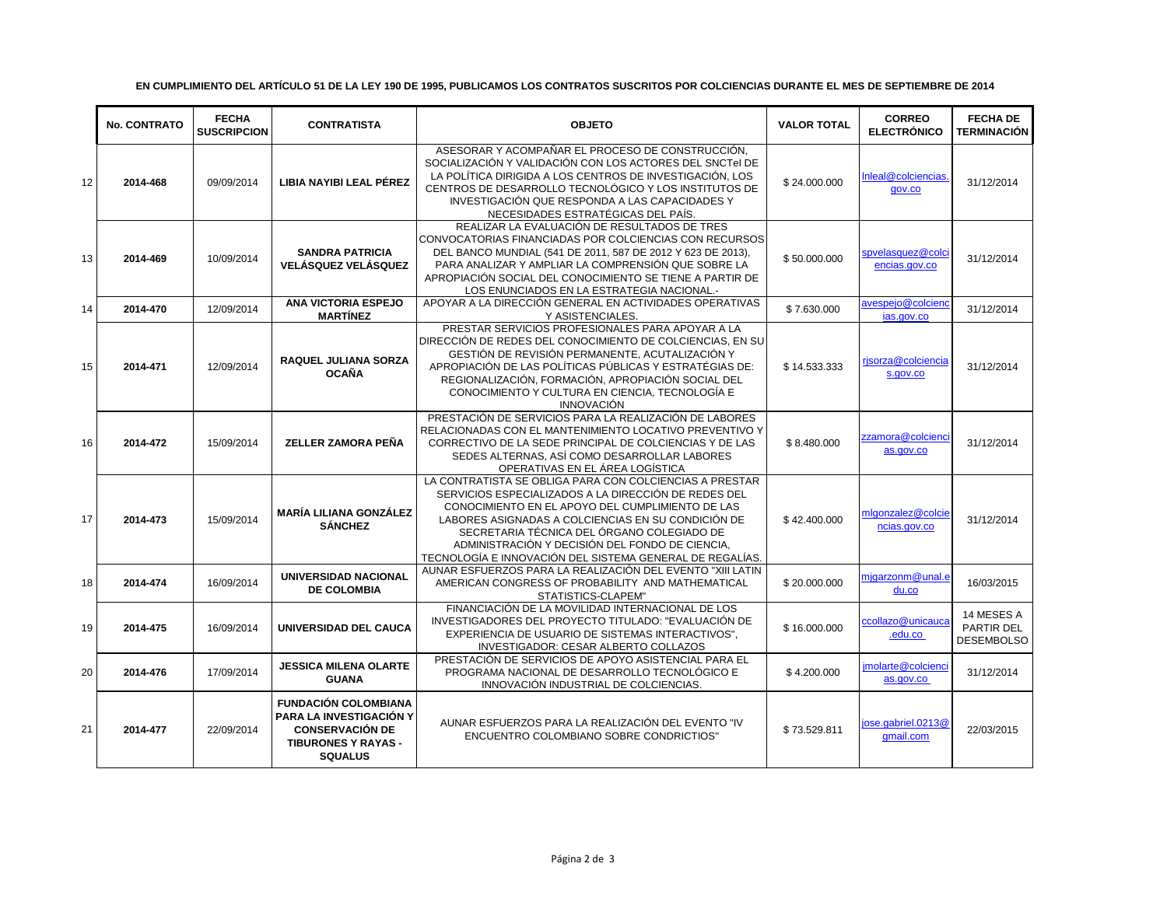|    | <b>No. CONTRATO</b> | <b>FECHA</b><br><b>SUSCRIPCION</b> | <b>CONTRATISTA</b>                                                                                                                      | <b>OBJETO</b>                                                                                                                                                                                                                                                                                                                                                                         | <b>VALOR TOTAL</b> | <b>CORREO</b><br><b>ELECTRÓNICO</b> | <b>FECHA DE</b><br><b>TERMINACIÓN</b>         |
|----|---------------------|------------------------------------|-----------------------------------------------------------------------------------------------------------------------------------------|---------------------------------------------------------------------------------------------------------------------------------------------------------------------------------------------------------------------------------------------------------------------------------------------------------------------------------------------------------------------------------------|--------------------|-------------------------------------|-----------------------------------------------|
| 12 | 2014-468            | 09/09/2014                         | LIBIA NAYIBI LEAL PÉREZ                                                                                                                 | ASESORAR Y ACOMPAÑAR EL PROCESO DE CONSTRUCCIÓN.<br>SOCIALIZACIÓN Y VALIDACIÓN CON LOS ACTORES DEL SNCTel DE<br>LA POLÍTICA DIRIGIDA A LOS CENTROS DE INVESTIGACIÓN, LOS<br>CENTROS DE DESARROLLO TECNOLÓGICO Y LOS INSTITUTOS DE<br>INVESTIGACIÓN QUE RESPONDA A LAS CAPACIDADES Y<br>NECESIDADES ESTRATÉGICAS DEL PAÍS.                                                             | \$24.000.000       | Inleal@colciencias<br>gov.co        | 31/12/2014                                    |
| 13 | 2014-469            | 10/09/2014                         | <b>SANDRA PATRICIA</b><br><b>VELÁSQUEZ VELÁSQUEZ</b>                                                                                    | REALIZAR LA EVALUACIÓN DE RESULTADOS DE TRES<br>CONVOCATORIAS FINANCIADAS POR COLCIENCIAS CON RECURSOS<br>DEL BANCO MUNDIAL (541 DE 2011, 587 DE 2012 Y 623 DE 2013),<br>PARA ANALIZAR Y AMPLIAR LA COMPRENSIÓN QUE SOBRE LA<br>APROPIACIÓN SOCIAL DEL CONOCIMIENTO SE TIENE A PARTIR DE<br>LOS ENUNCIADOS EN LA ESTRATEGIA NACIONAL.-                                                | \$50.000.000       | spvelasquez@colc<br>encias.gov.co   | 31/12/2014                                    |
| 14 | 2014-470            | 12/09/2014                         | <b>ANA VICTORIA ESPEJO</b><br><b>MARTÍNEZ</b>                                                                                           | APOYAR A LA DIRECCIÓN GENERAL EN ACTIVIDADES OPERATIVAS<br>Y ASISTENCIALES.                                                                                                                                                                                                                                                                                                           | \$7.630.000        | avespeio@colcien<br>ias.gov.co      | 31/12/2014                                    |
| 15 | 2014-471            | 12/09/2014                         | <b>RAQUEL JULIANA SORZA</b><br><b>OCAÑA</b>                                                                                             | PRESTAR SERVICIOS PROFESIONALES PARA APOYAR A LA<br>DIRECCIÓN DE REDES DEL CONOCIMIENTO DE COLCIENCIAS, EN SU<br>GESTIÓN DE REVISIÓN PERMANENTE, ACUTALIZACIÓN Y<br>APROPIACIÓN DE LAS POLÍTICAS PÚBLICAS Y ESTRATÉGIAS DE:<br>REGIONALIZACIÓN, FORMACIÓN, APROPIACIÓN SOCIAL DEL<br>CONOCIMIENTO Y CULTURA EN CIENCIA, TECNOLOGÍA E<br><b>INNOVACIÓN</b>                             | \$14.533.333       | risorza@colciencia<br>s.gov.co      | 31/12/2014                                    |
| 16 | 2014-472            | 15/09/2014                         | <b>ZELLER ZAMORA PEÑA</b>                                                                                                               | PRESTACIÓN DE SERVICIOS PARA LA REALIZACIÓN DE LABORES<br>RELACIONADAS CON EL MANTENIMIENTO LOCATIVO PREVENTIVO Y<br>CORRECTIVO DE LA SEDE PRINCIPAL DE COLCIENCIAS Y DE LAS<br>SEDES ALTERNAS, ASÍ COMO DESARROLLAR LABORES<br>OPERATIVAS EN EL ÁREA LOGÍSTICA                                                                                                                       | \$8.480.000        | zzamora@colcienc<br>as.gov.co       | 31/12/2014                                    |
| 17 | 2014-473            | 15/09/2014                         | <b>MARÍA LILIANA GONZÁLEZ</b><br><b>SÁNCHEZ</b>                                                                                         | LA CONTRATISTA SE OBLIGA PARA CON COLCIENCIAS A PRESTAR<br>SERVICIOS ESPECIALIZADOS A LA DIRECCIÓN DE REDES DEL<br>CONOCIMIENTO EN EL APOYO DEL CUMPLIMIENTO DE LAS<br>LABORES ASIGNADAS A COLCIENCIAS EN SU CONDICIÓN DE<br>SECRETARIA TÉCNICA DEL ÓRGANO COLEGIADO DE<br>ADMINISTRACIÓN Y DECISIÓN DEL FONDO DE CIENCIA,<br>TECNOLOGÍA E INNOVACIÓN DEL SISTEMA GENERAL DE REGALÍAS | \$42.400.000       | mlgonzalez@colcie<br>ncias.gov.co   | 31/12/2014                                    |
| 18 | 2014-474            | 16/09/2014                         | UNIVERSIDAD NACIONAL<br><b>DE COLOMBIA</b>                                                                                              | AUNAR ESFUERZOS PARA LA REALIZACIÓN DEL EVENTO "XIII LATIN<br>AMERICAN CONGRESS OF PROBABILITY AND MATHEMATICAL<br>STATISTICS-CLAPEM"                                                                                                                                                                                                                                                 | \$20.000.000       | migarzonm@unal.e<br>du.co           | 16/03/2015                                    |
| 19 | 2014-475            | 16/09/2014                         | UNIVERSIDAD DEL CAUCA                                                                                                                   | FINANCIACIÓN DE LA MOVILIDAD INTERNACIONAL DE LOS<br>INVESTIGADORES DEL PROYECTO TITULADO: "EVALUACIÓN DE<br>EXPERIENCIA DE USUARIO DE SISTEMAS INTERACTIVOS".<br>INVESTIGADOR: CESAR ALBERTO COLLAZOS                                                                                                                                                                                | \$16.000.000       | ccollazo@unicauca<br>.edu.co        | 14 MESES A<br>PARTIR DEL<br><b>DESEMBOLSO</b> |
| 20 | 2014-476            | 17/09/2014                         | <b>JESSICA MILENA OLARTE</b><br><b>GUANA</b>                                                                                            | PRESTACIÓN DE SERVICIOS DE APOYO ASISTENCIAL PARA EL<br>PROGRAMA NACIONAL DE DESARROLLO TECNOLÓGICO E<br>INNOVACIÓN INDUSTRIAL DE COLCIENCIAS.                                                                                                                                                                                                                                        | \$4.200.000        | imolarte@colcienc<br>as.gov.co      | 31/12/2014                                    |
| 21 | 2014-477            | 22/09/2014                         | <b>FUNDACIÓN COLOMBIANA</b><br><b>PARA LA INVESTIGACIÓN Y</b><br><b>CONSERVACIÓN DE</b><br><b>TIBURONES Y RAYAS -</b><br><b>SQUALUS</b> | AUNAR ESFUERZOS PARA LA REALIZACIÓN DEL EVENTO "IV<br>ENCUENTRO COLOMBIANO SOBRE CONDRICTIOS"                                                                                                                                                                                                                                                                                         | \$73.529.811       | iose.gabriel.0213@<br>gmail.com     | 22/03/2015                                    |

## **EN CUMPLIMIENTO DEL ARTÍCULO 51 DE LA LEY 190 DE 1995, PUBLICAMOS LOS CONTRATOS SUSCRITOS POR COLCIENCIAS DURANTE EL MES DE SEPTIEMBRE DE 2014**